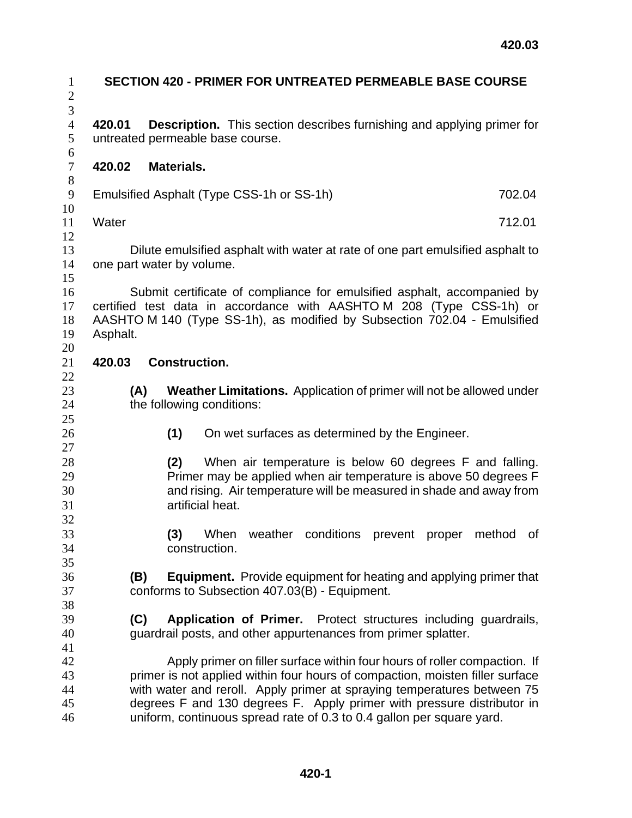| $\mathbf{1}$<br>$\overline{2}$ |                                                                                                             |                      |                  |  | <b>SECTION 420 - PRIMER FOR UNTREATED PERMEABLE BASE COURSE</b>                                                                                                                                                                                                                                                                                                                          |  |  |        |  |
|--------------------------------|-------------------------------------------------------------------------------------------------------------|----------------------|------------------|--|------------------------------------------------------------------------------------------------------------------------------------------------------------------------------------------------------------------------------------------------------------------------------------------------------------------------------------------------------------------------------------------|--|--|--------|--|
| 3<br>$\overline{4}$<br>5       | 420.01<br>untreated permeable base course.                                                                  |                      |                  |  | <b>Description.</b> This section describes furnishing and applying primer for                                                                                                                                                                                                                                                                                                            |  |  |        |  |
| $\boldsymbol{6}$<br>$\tau$     | 420.02                                                                                                      | <b>Materials.</b>    |                  |  |                                                                                                                                                                                                                                                                                                                                                                                          |  |  |        |  |
| $8\,$<br>9<br>10               | Emulsified Asphalt (Type CSS-1h or SS-1h)                                                                   |                      |                  |  |                                                                                                                                                                                                                                                                                                                                                                                          |  |  | 702.04 |  |
| 11                             | Water                                                                                                       |                      |                  |  |                                                                                                                                                                                                                                                                                                                                                                                          |  |  | 712.01 |  |
| 12<br>13<br>14<br>15           | Dilute emulsified asphalt with water at rate of one part emulsified asphalt to<br>one part water by volume. |                      |                  |  |                                                                                                                                                                                                                                                                                                                                                                                          |  |  |        |  |
| 16<br>17<br>18<br>19<br>20     | Asphalt.                                                                                                    |                      |                  |  | Submit certificate of compliance for emulsified asphalt, accompanied by<br>certified test data in accordance with AASHTOM 208 (Type CSS-1h) or<br>AASHTO M 140 (Type SS-1h), as modified by Subsection 702.04 - Emulsified                                                                                                                                                               |  |  |        |  |
| 21                             | 420.03                                                                                                      | <b>Construction.</b> |                  |  |                                                                                                                                                                                                                                                                                                                                                                                          |  |  |        |  |
| 22<br>23<br>24<br>25           | Weather Limitations. Application of primer will not be allowed under<br>(A)<br>the following conditions:    |                      |                  |  |                                                                                                                                                                                                                                                                                                                                                                                          |  |  |        |  |
| 26<br>27                       |                                                                                                             | (1)                  |                  |  | On wet surfaces as determined by the Engineer.                                                                                                                                                                                                                                                                                                                                           |  |  |        |  |
| 28<br>29<br>30<br>31<br>32     |                                                                                                             | (2)                  | artificial heat. |  | When air temperature is below 60 degrees F and falling.<br>Primer may be applied when air temperature is above 50 degrees F<br>and rising. Air temperature will be measured in shade and away from                                                                                                                                                                                       |  |  |        |  |
| 33<br>34                       |                                                                                                             | (3)                  | construction.    |  | When weather conditions prevent proper method of                                                                                                                                                                                                                                                                                                                                         |  |  |        |  |
| 35<br>36<br>37<br>38           | (B)                                                                                                         |                      |                  |  | <b>Equipment.</b> Provide equipment for heating and applying primer that<br>conforms to Subsection 407.03(B) - Equipment.                                                                                                                                                                                                                                                                |  |  |        |  |
| 39<br>40<br>41                 | (C)                                                                                                         |                      |                  |  | Application of Primer. Protect structures including guardrails,<br>guardrail posts, and other appurtenances from primer splatter.                                                                                                                                                                                                                                                        |  |  |        |  |
| 42<br>43<br>44<br>45<br>46     |                                                                                                             |                      |                  |  | Apply primer on filler surface within four hours of roller compaction. If<br>primer is not applied within four hours of compaction, moisten filler surface<br>with water and reroll. Apply primer at spraying temperatures between 75<br>degrees F and 130 degrees F. Apply primer with pressure distributor in<br>uniform, continuous spread rate of 0.3 to 0.4 gallon per square yard. |  |  |        |  |